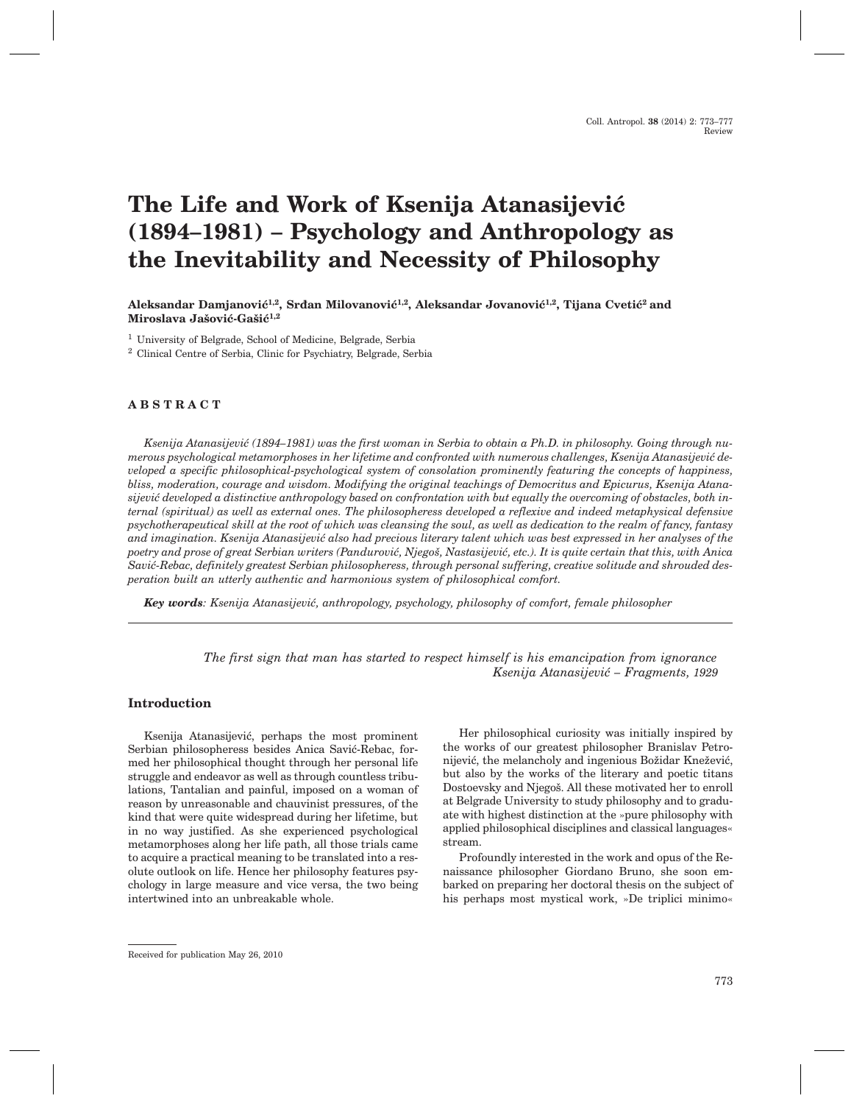# **The Life and Work of Ksenija Atanasijević (1894–1981) – Psychology and Anthropology as the Inevitability and Necessity of Philosophy**

Aleksandar Damjanović<sup>1,2</sup>, Srđan Milovanović<sup>1,2</sup>, Aleksandar Jovanović<sup>1,2</sup>, Tijana Cvetić<sup>2</sup> and Miroslava Jašović-Gašić<sup>1,2</sup>

<sup>1</sup> University of Belgrade, School of Medicine, Belgrade, Serbia

<sup>2</sup> Clinical Centre of Serbia, Clinic for Psychiatry, Belgrade, Serbia

## **ABSTRACT**

Ksenija Atanasijević (1894–1981) was the first woman in Serbia to obtain a Ph.D. in philosophy. Going through numerous psychological metamorphoses in her lifetime and confronted with numerous challenges, Ksenija Atanasijević de*veloped a specific philosophical-psychological system of consolation prominently featuring the concepts of happiness, bliss, moderation, courage and wisdom. Modifying the original teachings of Democritus and Epicurus, Ksenija Atana*sijević developed a distinctive anthropology based on confrontation with but equally the overcoming of obstacles, both in*ternal (spiritual) as well as external ones. The philosopheress developed a reflexive and indeed metaphysical defensive psychotherapeutical skill at the root of which was cleansing the soul, as well as dedication to the realm of fancy, fantasy and imagination. Ksenija Atanasijevi} also had precious literary talent which was best expressed in her analyses of the* poetry and prose of great Serbian writers (Pandurović, Njegoš, Nastasijević, etc.). It is quite certain that this, with Anica Savić-Rebac, definitely greatest Serbian philosopheress, through personal suffering, creative solitude and shrouded des*peration built an utterly authentic and harmonious system of philosophical comfort.*

*Key words: Ksenija Atanasijević, anthropology, psychology, philosophy of comfort, female philosopher* 

*The first sign that man has started to respect himself is his emancipation from ignorance Ksenija Atanasijevi} – Fragments, 1929*

#### **Introduction**

Ksenija Atanasijević, perhaps the most prominent Serbian philosopheress besides Anica Savić-Rebac, formed her philosophical thought through her personal life struggle and endeavor as well as through countless tribulations, Tantalian and painful, imposed on a woman of reason by unreasonable and chauvinist pressures, of the kind that were quite widespread during her lifetime, but in no way justified. As she experienced psychological metamorphoses along her life path, all those trials came to acquire a practical meaning to be translated into a resolute outlook on life. Hence her philosophy features psychology in large measure and vice versa, the two being intertwined into an unbreakable whole.

Her philosophical curiosity was initially inspired by the works of our greatest philosopher Branislav Petronijević, the melancholy and ingenious Božidar Knežević, but also by the works of the literary and poetic titans Dostoevsky and Njegoš. All these motivated her to enroll at Belgrade University to study philosophy and to graduate with highest distinction at the »pure philosophy with applied philosophical disciplines and classical languages« stream.

Profoundly interested in the work and opus of the Renaissance philosopher Giordano Bruno, she soon embarked on preparing her doctoral thesis on the subject of his perhaps most mystical work, »De triplici minimo«

Received for publication May 26, 2010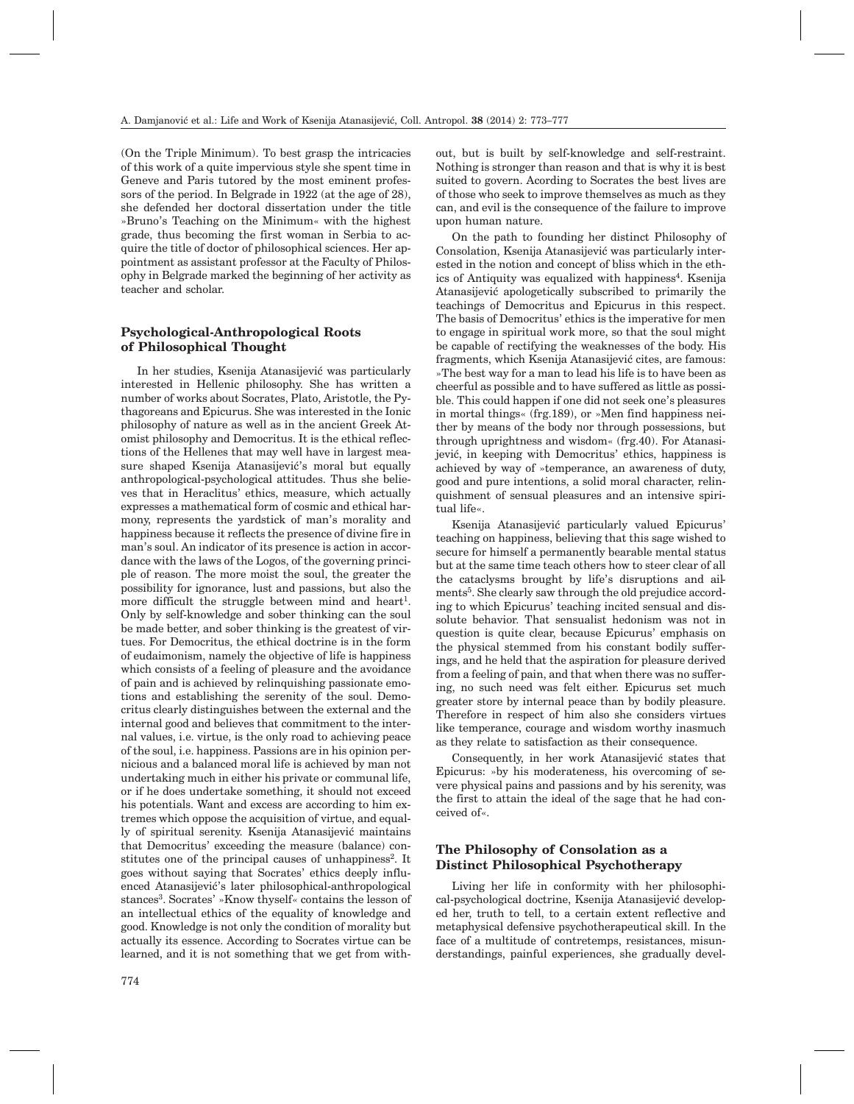(On the Triple Minimum). To best grasp the intricacies of this work of a quite impervious style she spent time in Geneve and Paris tutored by the most eminent professors of the period. In Belgrade in 1922 (at the age of 28), she defended her doctoral dissertation under the title »Bruno's Teaching on the Minimum« with the highest grade, thus becoming the first woman in Serbia to acquire the title of doctor of philosophical sciences. Her appointment as assistant professor at the Faculty of Philosophy in Belgrade marked the beginning of her activity as teacher and scholar.

## **Psychological-Anthropological Roots of Philosophical Thought**

In her studies, Ksenija Atanasijević was particularly interested in Hellenic philosophy. She has written a number of works about Socrates, Plato, Aristotle, the Pythagoreans and Epicurus. She was interested in the Ionic philosophy of nature as well as in the ancient Greek Atomist philosophy and Democritus. It is the ethical reflections of the Hellenes that may well have in largest measure shaped Ksenija Atanasijević's moral but equally anthropological-psychological attitudes. Thus she believes that in Heraclitus' ethics, measure, which actually expresses a mathematical form of cosmic and ethical harmony, represents the yardstick of man's morality and happiness because it reflects the presence of divine fire in man's soul. An indicator of its presence is action in accordance with the laws of the Logos, of the governing principle of reason. The more moist the soul, the greater the possibility for ignorance, lust and passions, but also the more difficult the struggle between mind and heart<sup>1</sup>. Only by self-knowledge and sober thinking can the soul be made better, and sober thinking is the greatest of virtues. For Democritus, the ethical doctrine is in the form of eudaimonism, namely the objective of life is happiness which consists of a feeling of pleasure and the avoidance of pain and is achieved by relinquishing passionate emotions and establishing the serenity of the soul. Democritus clearly distinguishes between the external and the internal good and believes that commitment to the internal values, i.e. virtue, is the only road to achieving peace of the soul, i.e. happiness. Passions are in his opinion pernicious and a balanced moral life is achieved by man not undertaking much in either his private or communal life, or if he does undertake something, it should not exceed his potentials. Want and excess are according to him extremes which oppose the acquisition of virtue, and equally of spiritual serenity. Ksenija Atanasijević maintains that Democritus' exceeding the measure (balance) constitutes one of the principal causes of unhappiness<sup>2</sup>. It goes without saying that Socrates' ethics deeply influenced Atanasijević's later philosophical-anthropological stances<sup>3</sup>. Socrates' »Know thyself« contains the lesson of an intellectual ethics of the equality of knowledge and good. Knowledge is not only the condition of morality but actually its essence. According to Socrates virtue can be learned, and it is not something that we get from with-

out, but is built by self-knowledge and self-restraint. Nothing is stronger than reason and that is why it is best suited to govern. Acording to Socrates the best lives are of those who seek to improve themselves as much as they can, and evil is the consequence of the failure to improve upon human nature.

On the path to founding her distinct Philosophy of Consolation, Ksenija Atanasijević was particularly interested in the notion and concept of bliss which in the ethics of Antiquity was equalized with happiness<sup>4</sup>. Ksenija Atanasijević apologetically subscribed to primarily the teachings of Democritus and Epicurus in this respect. The basis of Democritus' ethics is the imperative for men to engage in spiritual work more, so that the soul might be capable of rectifying the weaknesses of the body. His fragments, which Ksenija Atanasijević cites, are famous: »The best way for a man to lead his life is to have been as cheerful as possible and to have suffered as little as possible. This could happen if one did not seek one's pleasures in mortal things« (frg.189), or »Men find happiness neither by means of the body nor through possessions, but through uprightness and wisdom« (frg.40). For Atanasijević, in keeping with Democritus' ethics, happiness is achieved by way of »temperance, an awareness of duty, good and pure intentions, a solid moral character, relinquishment of sensual pleasures and an intensive spiritual life«.

Ksenija Atanasijević particularly valued Epicurus' teaching on happiness, believing that this sage wished to secure for himself a permanently bearable mental status but at the same time teach others how to steer clear of all the cataclysms brought by life's disruptions and ailments<sup>5</sup>. She clearly saw through the old prejudice according to which Epicurus' teaching incited sensual and dissolute behavior. That sensualist hedonism was not in question is quite clear, because Epicurus' emphasis on the physical stemmed from his constant bodily sufferings, and he held that the aspiration for pleasure derived from a feeling of pain, and that when there was no suffering, no such need was felt either. Epicurus set much greater store by internal peace than by bodily pleasure. Therefore in respect of him also she considers virtues like temperance, courage and wisdom worthy inasmuch as they relate to satisfaction as their consequence.

Consequently, in her work Atanasijević states that Epicurus: »by his moderateness, his overcoming of severe physical pains and passions and by his serenity, was the first to attain the ideal of the sage that he had conceived of«.

## **The Philosophy of Consolation as a Distinct Philosophical Psychotherapy**

Living her life in conformity with her philosophical-psychological doctrine, Ksenija Atanasijević developed her, truth to tell, to a certain extent reflective and metaphysical defensive psychotherapeutical skill. In the face of a multitude of contretemps, resistances, misunderstandings, painful experiences, she gradually devel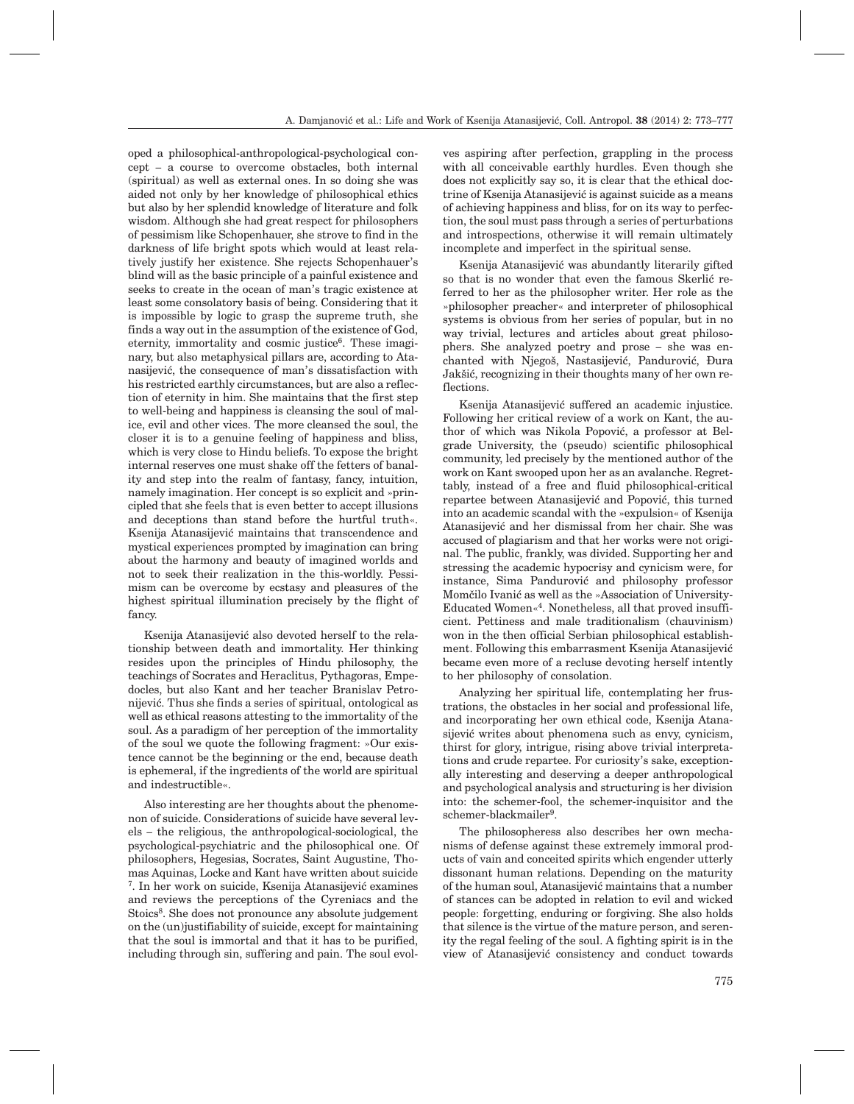oped a philosophical-anthropological-psychological concept – a course to overcome obstacles, both internal (spiritual) as well as external ones. In so doing she was aided not only by her knowledge of philosophical ethics but also by her splendid knowledge of literature and folk wisdom. Although she had great respect for philosophers of pessimism like Schopenhauer, she strove to find in the darkness of life bright spots which would at least relatively justify her existence. She rejects Schopenhauer's blind will as the basic principle of a painful existence and seeks to create in the ocean of man's tragic existence at least some consolatory basis of being. Considering that it is impossible by logic to grasp the supreme truth, she finds a way out in the assumption of the existence of God, eternity, immortality and cosmic justice<sup>6</sup>. These imaginary, but also metaphysical pillars are, according to Atanasijević, the consequence of man's dissatisfaction with his restricted earthly circumstances, but are also a reflection of eternity in him. She maintains that the first step to well-being and happiness is cleansing the soul of malice, evil and other vices. The more cleansed the soul, the closer it is to a genuine feeling of happiness and bliss, which is very close to Hindu beliefs. To expose the bright internal reserves one must shake off the fetters of banality and step into the realm of fantasy, fancy, intuition, namely imagination. Her concept is so explicit and »principled that she feels that is even better to accept illusions and deceptions than stand before the hurtful truth«. Ksenija Atanasijević maintains that transcendence and mystical experiences prompted by imagination can bring about the harmony and beauty of imagined worlds and not to seek their realization in the this-worldly. Pessimism can be overcome by ecstasy and pleasures of the highest spiritual illumination precisely by the flight of fancy.

Ksenija Atanasijević also devoted herself to the relationship between death and immortality. Her thinking resides upon the principles of Hindu philosophy, the teachings of Socrates and Heraclitus, Pythagoras, Empedocles, but also Kant and her teacher Branislav Petronijević. Thus she finds a series of spiritual, ontological as well as ethical reasons attesting to the immortality of the soul. As a paradigm of her perception of the immortality of the soul we quote the following fragment: »Our existence cannot be the beginning or the end, because death is ephemeral, if the ingredients of the world are spiritual and indestructible«.

Also interesting are her thoughts about the phenomenon of suicide. Considerations of suicide have several levels – the religious, the anthropological-sociological, the psychological-psychiatric and the philosophical one. Of philosophers, Hegesias, Socrates, Saint Augustine, Thomas Aquinas, Locke and Kant have written about suicide <sup>7</sup>. In her work on suicide, Ksenija Atanasijević examines and reviews the perceptions of the Cyreniacs and the Stoics<sup>8</sup>. She does not pronounce any absolute judgement on the (un)justifiability of suicide, except for maintaining that the soul is immortal and that it has to be purified, including through sin, suffering and pain. The soul evolves aspiring after perfection, grappling in the process with all conceivable earthly hurdles. Even though she does not explicitly say so, it is clear that the ethical doctrine of Ksenija Atanasijević is against suicide as a means of achieving happiness and bliss, for on its way to perfection, the soul must pass through a series of perturbations and introspections, otherwise it will remain ultimately incomplete and imperfect in the spiritual sense.

Ksenija Atanasijević was abundantly literarily gifted so that is no wonder that even the famous Skerlić referred to her as the philosopher writer. Her role as the »philosopher preacher« and interpreter of philosophical systems is obvious from her series of popular, but in no way trivial, lectures and articles about great philosophers. She analyzed poetry and prose – she was enchanted with Njegoš, Nastasijević, Pandurović, Đura Jakšić, recognizing in their thoughts many of her own reflections.

Ksenija Atanasijević suffered an academic injustice. Following her critical review of a work on Kant, the author of which was Nikola Popović, a professor at Belgrade University, the (pseudo) scientific philosophical community, led precisely by the mentioned author of the work on Kant swooped upon her as an avalanche. Regrettably, instead of a free and fluid philosophical-critical repartee between Atanasijević and Popović, this turned into an academic scandal with the »expulsion« of Ksenija Atanasijević and her dismissal from her chair. She was accused of plagiarism and that her works were not original. The public, frankly, was divided. Supporting her and stressing the academic hypocrisy and cynicism were, for instance, Sima Pandurović and philosophy professor Momčilo Ivanić as well as the »Association of University-Educated Women«4. Nonetheless, all that proved insufficient. Pettiness and male traditionalism (chauvinism) won in the then official Serbian philosophical establishment. Following this embarrasment Ksenija Atanasijević became even more of a recluse devoting herself intently to her philosophy of consolation.

Analyzing her spiritual life, contemplating her frustrations, the obstacles in her social and professional life, and incorporating her own ethical code, Ksenija Atanasijević writes about phenomena such as envy, cynicism, thirst for glory, intrigue, rising above trivial interpretations and crude repartee. For curiosity's sake, exceptionally interesting and deserving a deeper anthropological and psychological analysis and structuring is her division into: the schemer-fool, the schemer-inquisitor and the schemer-blackmailer<sup>9</sup>.

The philosopheress also describes her own mechanisms of defense against these extremely immoral products of vain and conceited spirits which engender utterly dissonant human relations. Depending on the maturity of the human soul, Atanasijević maintains that a number of stances can be adopted in relation to evil and wicked people: forgetting, enduring or forgiving. She also holds that silence is the virtue of the mature person, and serenity the regal feeling of the soul. A fighting spirit is in the view of Atanasijević consistency and conduct towards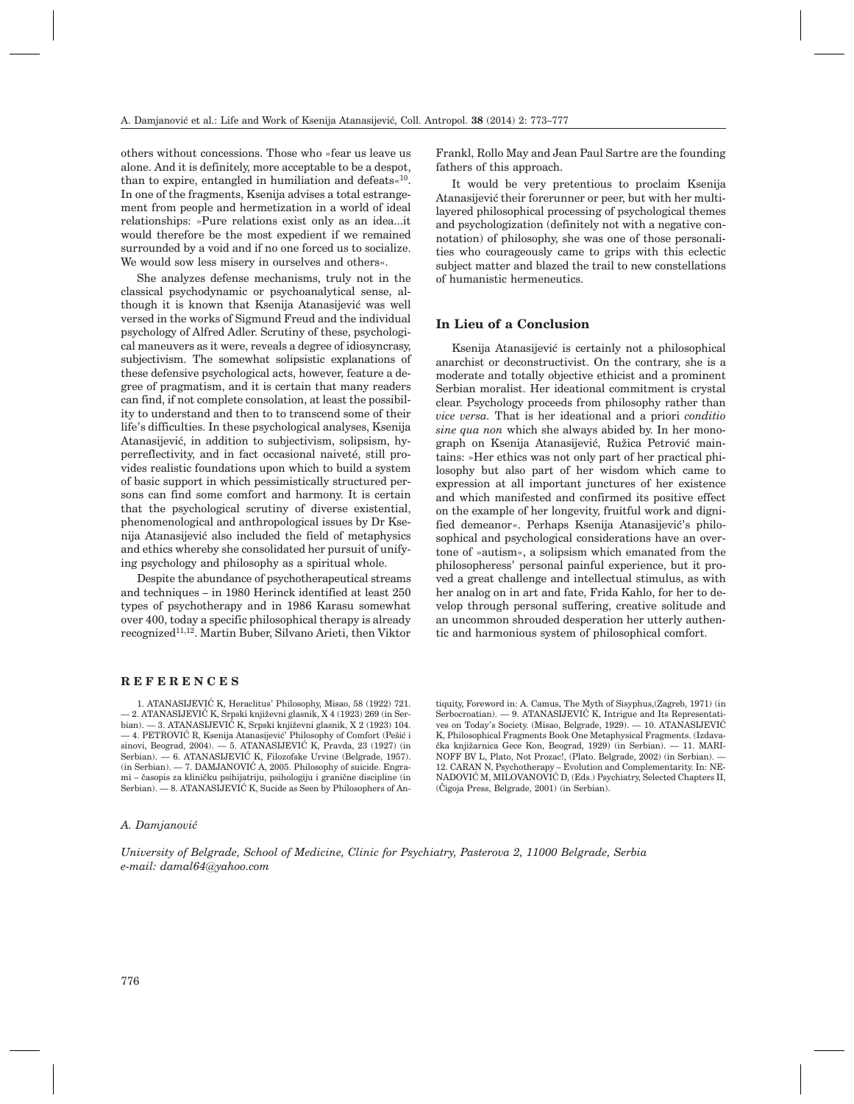others without concessions. Those who »fear us leave us alone. And it is definitely, more acceptable to be a despot, than to expire, entangled in humiliation and defeats«<sup>10</sup>. In one of the fragments, Ksenija advises a total estrangement from people and hermetization in a world of ideal relationships: »Pure relations exist only as an idea...it would therefore be the most expedient if we remained surrounded by a void and if no one forced us to socialize. We would sow less misery in ourselves and others«.

She analyzes defense mechanisms, truly not in the classical psychodynamic or psychoanalytical sense, although it is known that Ksenija Atanasijević was well versed in the works of Sigmund Freud and the individual psychology of Alfred Adler. Scrutiny of these, psychological maneuvers as it were, reveals a degree of idiosyncrasy, subjectivism. The somewhat solipsistic explanations of these defensive psychological acts, however, feature a degree of pragmatism, and it is certain that many readers can find, if not complete consolation, at least the possibility to understand and then to to transcend some of their life's difficulties. In these psychological analyses, Ksenija Atanasijević, in addition to subjectivism, solipsism, hyperreflectivity, and in fact occasional naiveté, still provides realistic foundations upon which to build a system of basic support in which pessimistically structured persons can find some comfort and harmony. It is certain that the psychological scrutiny of diverse existential, phenomenological and anthropological issues by Dr Ksenija Atanasijević also included the field of metaphysics and ethics whereby she consolidated her pursuit of unifying psychology and philosophy as a spiritual whole.

Despite the abundance of psychotherapeutical streams and techniques – in 1980 Herinck identified at least 250 types of psychotherapy and in 1986 Karasu somewhat over 400, today a specific philosophical therapy is already recognized11,12. Martin Buber, Silvano Arieti, then Viktor Frankl, Rollo May and Jean Paul Sartre are the founding fathers of this approach.

It would be very pretentious to proclaim Ksenija Atanasijević their forerunner or peer, but with her multilayered philosophical processing of psychological themes and psychologization (definitely not with a negative connotation) of philosophy, she was one of those personalities who courageously came to grips with this eclectic subject matter and blazed the trail to new constellations of humanistic hermeneutics.

#### **In Lieu of a Conclusion**

Ksenija Atanasijević is certainly not a philosophical anarchist or deconstructivist. On the contrary, she is a moderate and totally objective ethicist and a prominent Serbian moralist. Her ideational commitment is crystal clear. Psychology proceeds from philosophy rather than *vice versa.* That is her ideational and a priori *conditio sine qua non* which she always abided by. In her monograph on Ksenija Atanasijević, Ružica Petrović maintains: »Her ethics was not only part of her practical philosophy but also part of her wisdom which came to expression at all important junctures of her existence and which manifested and confirmed its positive effect on the example of her longevity, fruitful work and dignified demeanor«. Perhaps Ksenija Atanasijević's philosophical and psychological considerations have an overtone of »autism«, a solipsism which emanated from the philosopheress' personal painful experience, but it proved a great challenge and intellectual stimulus, as with her analog on in art and fate, Frida Kahlo, for her to develop through personal suffering, creative solitude and an uncommon shrouded desperation her utterly authentic and harmonious system of philosophical comfort.

#### **REFERENCES**

1. ATANASIJEVIĆ K, Heraclitus' Philosophy, Misao, 58 (1922) 721. -2. ATANASIJEVIĆ K, Srpski književni glasnik, X 4 (1923) 269 (in Serbian). — 3. ATANASIJEVIĆ K, Srpski književni glasnik, X 2 (1923) 104.  $-$ 4. PETROVIĆ R, Ksenija Atanasijević' Philosophy of Comfort (Pešić i sinovi, Beograd, 2004).  $-$  5. ATANASIJEVIĆ K, Pravda, 23 (1927) (in Serbian). — 6. ATANASIJEVIĆ K, Filozofske Urvine (Belgrade, 1957).  $(in Serbian)$ . - 7. DAMJANOVIĆ A, 2005. Philosophy of suicide. Engrami – časopis za kliničku psihijatriju, psihologiju i granične discipline (in  $Serbian. - 8. ATANASIJEVIC K, Sucide as Seen by Philosophers of An-$ 

tiquity, Foreword in: A. Camus, The Myth of Sisyphus,(Zagreb, 1971) (in Serbocroatian). — 9. ATANASIJEVIĆ K, Intrigue and Its Representatives on Today's Society. (Misao, Belgrade, 1929). — 10. ATANASIJEVIĆ K, Philosophical Fragments Book One Metaphysical Fragments. (Izdava čka knjižarnica Gece Kon, Beograd, 1929) (in Serbian). — 11. MARI-NOFF BV L, Plato, Not Prozac!, (Plato. Belgrade, 2002) (in Serbian). — 12. CARAN N, Psychotherapy – Evolution and Complementarity. In: NE-NADOVIĆ M, MILOVANOVIĆ D, (Eds.) Psychiatry, Selected Chapters II, (^igoja Press, Belgrade, 2001) (in Serbian).

#### *A. Damjanovi}*

*University of Belgrade, School of Medicine, Clinic for Psychiatry, Pasterova 2, 11000 Belgrade, Serbia e-mail: damal64@yahoo.com*